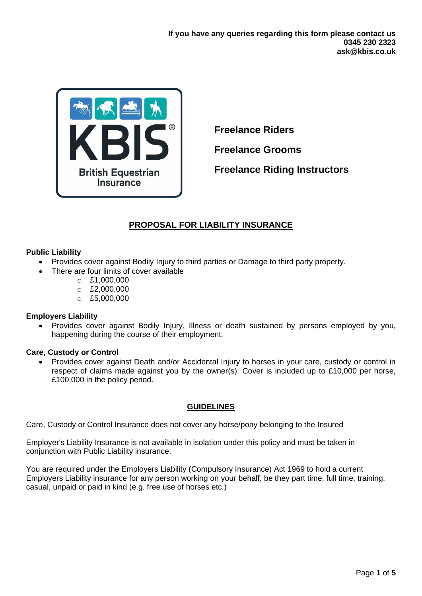

**Freelance Riders**

**Freelance Grooms**

**Freelance Riding Instructors**

# **PROPOSAL FOR LIABILITY INSURANCE**

# **Public Liability**

- Provides cover against Bodily Injury to third parties or Damage to third party property.
- There are four limits of cover available
	- $O E1,000,000$
	- $O$  £2,000,000
	- o £5,000,000

## **Employers Liability**

• Provides cover against Bodily Injury, Illness or death sustained by persons employed by you, happening during the course of their employment.

## **Care, Custody or Control**

• Provides cover against Death and/or Accidental Injury to horses in your care, custody or control in respect of claims made against you by the owner(s). Cover is included up to £10,000 per horse, £100,000 in the policy period.

# **GUIDELINES**

Care, Custody or Control Insurance does not cover any horse/pony belonging to the Insured

Employer's Liability Insurance is not available in isolation under this policy and must be taken in conjunction with Public Liability insurance.

You are required under the Employers Liability (Compulsory Insurance) Act 1969 to hold a current Employers Liability insurance for any person working on your behalf, be they part time, full time, training, casual, unpaid or paid in kind (e.g. free use of horses etc.)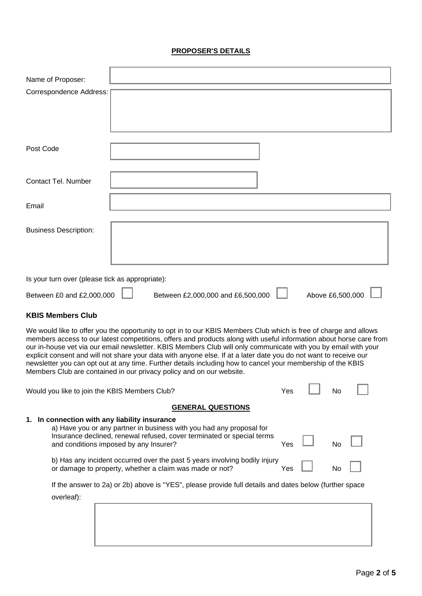# **PROPOSER'S DETAILS**

| Name of Proposer:                               |                                                                                                                                                                                                                                                                                                                                                                                                                                                                                                                                                                                                                                                                      |     |                  |  |
|-------------------------------------------------|----------------------------------------------------------------------------------------------------------------------------------------------------------------------------------------------------------------------------------------------------------------------------------------------------------------------------------------------------------------------------------------------------------------------------------------------------------------------------------------------------------------------------------------------------------------------------------------------------------------------------------------------------------------------|-----|------------------|--|
| Correspondence Address:                         |                                                                                                                                                                                                                                                                                                                                                                                                                                                                                                                                                                                                                                                                      |     |                  |  |
|                                                 |                                                                                                                                                                                                                                                                                                                                                                                                                                                                                                                                                                                                                                                                      |     |                  |  |
| Post Code                                       |                                                                                                                                                                                                                                                                                                                                                                                                                                                                                                                                                                                                                                                                      |     |                  |  |
| Contact Tel. Number                             |                                                                                                                                                                                                                                                                                                                                                                                                                                                                                                                                                                                                                                                                      |     |                  |  |
| Email                                           |                                                                                                                                                                                                                                                                                                                                                                                                                                                                                                                                                                                                                                                                      |     |                  |  |
| <b>Business Description:</b>                    |                                                                                                                                                                                                                                                                                                                                                                                                                                                                                                                                                                                                                                                                      |     |                  |  |
| Is your turn over (please tick as appropriate): |                                                                                                                                                                                                                                                                                                                                                                                                                                                                                                                                                                                                                                                                      |     |                  |  |
| Between £0 and £2,000,000                       | Between £2,000,000 and £6,500,000                                                                                                                                                                                                                                                                                                                                                                                                                                                                                                                                                                                                                                    |     | Above £6,500,000 |  |
| <b>KBIS Members Club</b>                        |                                                                                                                                                                                                                                                                                                                                                                                                                                                                                                                                                                                                                                                                      |     |                  |  |
|                                                 | We would like to offer you the opportunity to opt in to our KBIS Members Club which is free of charge and allows<br>members access to our latest competitions, offers and products along with useful information about horse care from<br>our in-house vet via our email newsletter. KBIS Members Club will only communicate with you by email with your<br>explicit consent and will not share your data with anyone else. If at a later date you do not want to receive our<br>newsletter you can opt out at any time. Further details including how to cancel your membership of the KBIS<br>Members Club are contained in our privacy policy and on our website. |     |                  |  |
| Would you like to join the KBIS Members Club?   |                                                                                                                                                                                                                                                                                                                                                                                                                                                                                                                                                                                                                                                                      | Yes | No               |  |
|                                                 | <b>GENERAL QUESTIONS</b>                                                                                                                                                                                                                                                                                                                                                                                                                                                                                                                                                                                                                                             |     |                  |  |
| 1. In connection with any liability insurance   | a) Have you or any partner in business with you had any proposal for<br>Insurance declined, renewal refused, cover terminated or special terms<br>and conditions imposed by any Insurer?                                                                                                                                                                                                                                                                                                                                                                                                                                                                             | Yes | No               |  |
|                                                 | b) Has any incident occurred over the past 5 years involving bodily injury<br>or damage to property, whether a claim was made or not?                                                                                                                                                                                                                                                                                                                                                                                                                                                                                                                                | Yes | No               |  |
| overleaf):                                      | If the answer to 2a) or 2b) above is "YES", please provide full details and dates below (further space                                                                                                                                                                                                                                                                                                                                                                                                                                                                                                                                                               |     |                  |  |
|                                                 |                                                                                                                                                                                                                                                                                                                                                                                                                                                                                                                                                                                                                                                                      |     |                  |  |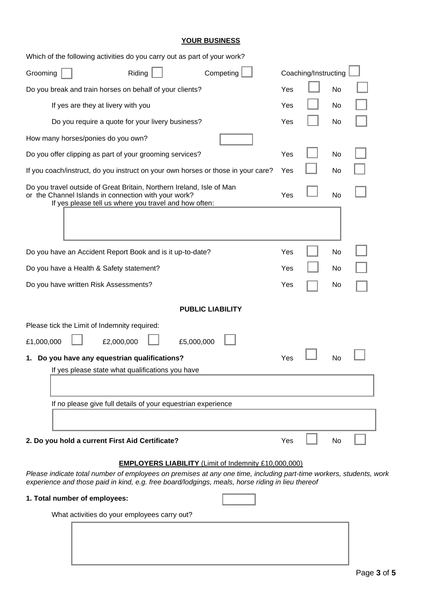|--|

| Which of the following activities do you carry out as part of your work?                                                                                                                                               |     |           |  |
|------------------------------------------------------------------------------------------------------------------------------------------------------------------------------------------------------------------------|-----|-----------|--|
| Coaching/Instructing<br>Riding<br>Competing<br>Grooming                                                                                                                                                                |     |           |  |
| Do you break and train horses on behalf of your clients?                                                                                                                                                               | Yes | <b>No</b> |  |
| If yes are they at livery with you                                                                                                                                                                                     | Yes | No        |  |
| Do you require a quote for your livery business?                                                                                                                                                                       | Yes | No        |  |
| How many horses/ponies do you own?                                                                                                                                                                                     |     |           |  |
| Do you offer clipping as part of your grooming services?                                                                                                                                                               | Yes | No        |  |
| If you coach/instruct, do you instruct on your own horses or those in your care?                                                                                                                                       | Yes | No        |  |
| Do you travel outside of Great Britain, Northern Ireland, Isle of Man<br>or the Channel Islands in connection with your work?<br>If yes please tell us where you travel and how often:                                 |     | No        |  |
|                                                                                                                                                                                                                        |     |           |  |
| Do you have an Accident Report Book and is it up-to-date?                                                                                                                                                              | Yes | No        |  |
| Do you have a Health & Safety statement?                                                                                                                                                                               |     | No        |  |
| Do you have written Risk Assessments?                                                                                                                                                                                  |     | No        |  |
| <b>PUBLIC LIABILITY</b>                                                                                                                                                                                                |     |           |  |
| Please tick the Limit of Indemnity required:                                                                                                                                                                           |     |           |  |
| £5,000,000<br>£1,000,000<br>£2,000,000                                                                                                                                                                                 |     |           |  |
| 1. Do you have any equestrian qualifications?                                                                                                                                                                          | Yes | No        |  |
| If yes please state what qualifications you have                                                                                                                                                                       |     |           |  |
|                                                                                                                                                                                                                        |     |           |  |
| If no please give full details of your equestrian experience                                                                                                                                                           |     |           |  |
|                                                                                                                                                                                                                        |     |           |  |
| 2. Do you hold a current First Aid Certificate?                                                                                                                                                                        | Yes | No        |  |
| <b>EMPLOYERS LIABILITY (Limit of Indemnity £10,000,000)</b>                                                                                                                                                            |     |           |  |
| Please indicate total number of employees on premises at any one time, including part-time workers, students, work<br>experience and those paid in kind, e.g. free board/lodgings, meals, horse riding in lieu thereof |     |           |  |
| 1. Total number of employees:                                                                                                                                                                                          |     |           |  |
| What activities do your employees carry out?                                                                                                                                                                           |     |           |  |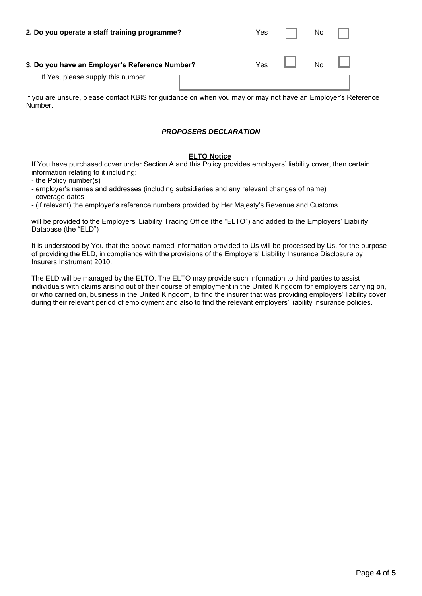| 2. Do you operate a staff training programme?  | Yes |                      | No |  |
|------------------------------------------------|-----|----------------------|----|--|
| 3. Do you have an Employer's Reference Number? |     | Yes $\Box$ No $\Box$ |    |  |
| If Yes, please supply this number              |     |                      |    |  |

If you are unsure, please contact KBIS for guidance on when you may or may not have an Employer's Reference Number.

### *PROPOSERS DECLARATION*

#### **ELTO Notice**

If You have purchased cover under Section A and this Policy provides employers' liability cover, then certain information relating to it including:

- the Policy number(s)

- employer's names and addresses (including subsidiaries and any relevant changes of name)

- coverage dates

- (if relevant) the employer's reference numbers provided by Her Majesty's Revenue and Customs

will be provided to the Employers' Liability Tracing Office (the "ELTO") and added to the Employers' Liability Database (the "ELD")

It is understood by You that the above named information provided to Us will be processed by Us, for the purpose of providing the ELD, in compliance with the provisions of the Employers' Liability Insurance Disclosure by Insurers Instrument 2010.

The ELD will be managed by the ELTO. The ELTO may provide such information to third parties to assist individuals with claims arising out of their course of employment in the United Kingdom for employers carrying on, or who carried on, business in the United Kingdom, to find the insurer that was providing employers' liability cover during their relevant period of employment and also to find the relevant employers' liability insurance policies.